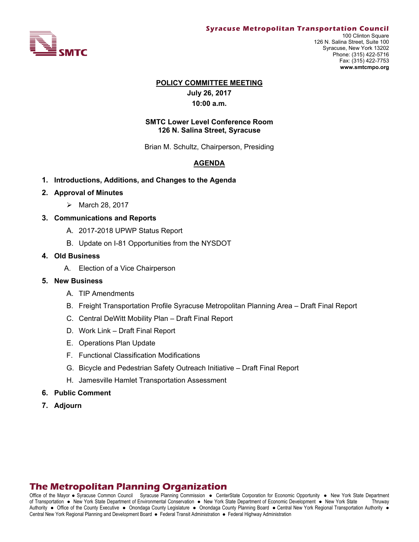

#### **Syracuse Metropolitan Transportation Council**

100 Clinton Square 126 N. Salina Street, Suite 100 Syracuse, New York 13202 Phone: (315) 422-5716 Fax: (315) 422-7753 **www.smtcmpo.org**

#### **POLICY COMMITTEE MEETING**

**July 26, 2017 10:00 a.m.**

## **SMTC Lower Level Conference Room 126 N. Salina Street, Syracuse**

Brian M. Schultz, Chairperson, Presiding

# **AGENDA**

- **1. Introductions, Additions, and Changes to the Agenda**
- **2. Approval of Minutes** 
	- $\triangleright$  March 28, 2017
- **3. Communications and Reports** 
	- A. 2017-2018 UPWP Status Report
	- B. Update on I-81 Opportunities from the NYSDOT

## **4. Old Business**

A. Election of a Vice Chairperson

#### **5. New Business**

- A. TIP Amendments
- B. Freight Transportation Profile Syracuse Metropolitan Planning Area Draft Final Report
- C. Central DeWitt Mobility Plan Draft Final Report
- D. Work Link Draft Final Report
- E. Operations Plan Update
- F. Functional Classification Modifications
- G. Bicycle and Pedestrian Safety Outreach Initiative Draft Final Report
- H. Jamesville Hamlet Transportation Assessment
- **6. Public Comment**
- **7. Adjourn**

# **The Metropolitan Planning Organization**

Office of the Mayor • Syracuse Common Council Syracuse Planning Commission • CenterState Corporation for Economic Opportunity • New York State Department of Transportation New York State Department of Environmental Conservation New York State Department of Economic Development New York State Thruway Authority . Office of the County Executive . Onondaga County Legislature . Onondaga County Planning Board . Central New York Regional Transportation Authority . Central New York Regional Planning and Development Board · Federal Transit Administration · Federal Highway Administration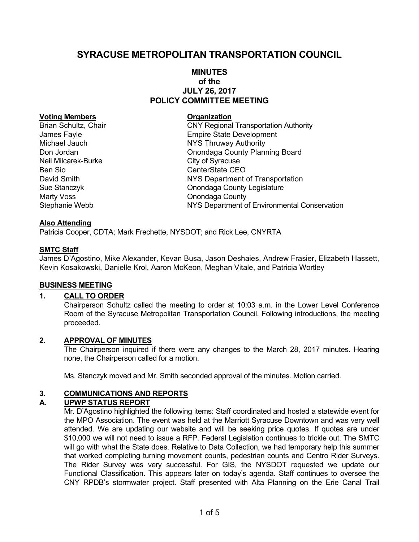# **SYRACUSE METROPOLITAN TRANSPORTATION COUNCIL**

# **MINUTES of the JULY 26, 2017 POLICY COMMITTEE MEETING**

## **Voting Members Construction Construction Construction Construction Construction Construction Construction Construction Construction Construction Construction Construction Construction Construction Construction Constructio**

Neil Milcarek-Burke City of Syracuse Ben Sio CenterState CEO Marty Voss **Marty Voss COUNTER COUNTER COUNTER** 

Brian Schultz, Chair **CNY Regional Transportation Authority** James Fayle **Empire State Development** Michael Jauch **NYS Thruway Authority** Don Jordan **Don Jordan County Planning Board** David Smith NYS Department of Transportation Sue Stanczyk Onondaga County Legislature Stephanie Webb NYS Department of Environmental Conservation

## **Also Attending**

Patricia Cooper, CDTA; Mark Frechette, NYSDOT; and Rick Lee, CNYRTA

## **SMTC Staff**

James D'Agostino, Mike Alexander, Kevan Busa, Jason Deshaies, Andrew Frasier, Elizabeth Hassett, Kevin Kosakowski, Danielle Krol, Aaron McKeon, Meghan Vitale, and Patricia Wortley

## **BUSINESS MEETING**

# **1. CALL TO ORDER**

Chairperson Schultz called the meeting to order at 10:03 a.m. in the Lower Level Conference Room of the Syracuse Metropolitan Transportation Council. Following introductions, the meeting proceeded.

## **2. APPROVAL OF MINUTES**

The Chairperson inquired if there were any changes to the March 28, 2017 minutes. Hearing none, the Chairperson called for a motion.

Ms. Stanczyk moved and Mr. Smith seconded approval of the minutes. Motion carried.

# **3. COMMUNICATIONS AND REPORTS**

# **A. UPWP STATUS REPORT**

Mr. D'Agostino highlighted the following items: Staff coordinated and hosted a statewide event for the MPO Association. The event was held at the Marriott Syracuse Downtown and was very well attended. We are updating our website and will be seeking price quotes. If quotes are under \$10,000 we will not need to issue a RFP. Federal Legislation continues to trickle out. The SMTC will go with what the State does. Relative to Data Collection, we had temporary help this summer that worked completing turning movement counts, pedestrian counts and Centro Rider Surveys. The Rider Survey was very successful. For GIS, the NYSDOT requested we update our Functional Classification. This appears later on today's agenda. Staff continues to oversee the CNY RPDB's stormwater project. Staff presented with Alta Planning on the Erie Canal Trail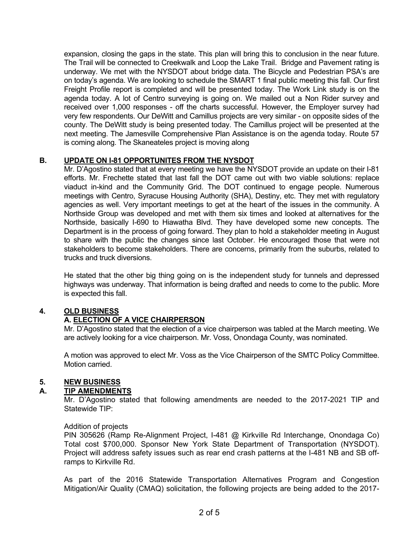expansion, closing the gaps in the state. This plan will bring this to conclusion in the near future. The Trail will be connected to Creekwalk and Loop the Lake Trail. Bridge and Pavement rating is underway. We met with the NYSDOT about bridge data. The Bicycle and Pedestrian PSA's are on today's agenda. We are looking to schedule the SMART 1 final public meeting this fall. Our first Freight Profile report is completed and will be presented today. The Work Link study is on the agenda today. A lot of Centro surveying is going on. We mailed out a Non Rider survey and received over 1,000 responses - off the charts successful. However, the Employer survey had very few respondents. Our DeWitt and Camillus projects are very similar - on opposite sides of the county. The DeWitt study is being presented today. The Camillus project will be presented at the next meeting. The Jamesville Comprehensive Plan Assistance is on the agenda today. Route 57 is coming along. The Skaneateles project is moving along

# **B. UPDATE ON I-81 OPPORTUNITES FROM THE NYSDOT**

Mr. D'Agostino stated that at every meeting we have the NYSDOT provide an update on their I-81 efforts. Mr. Frechette stated that last fall the DOT came out with two viable solutions: replace viaduct in-kind and the Community Grid. The DOT continued to engage people. Numerous meetings with Centro, Syracuse Housing Authority (SHA), Destiny, etc. They met with regulatory agencies as well. Very important meetings to get at the heart of the issues in the community. A Northside Group was developed and met with them six times and looked at alternatives for the Northside, basically I-690 to Hiawatha Blvd. They have developed some new concepts. The Department is in the process of going forward. They plan to hold a stakeholder meeting in August to share with the public the changes since last October. He encouraged those that were not stakeholders to become stakeholders. There are concerns, primarily from the suburbs, related to trucks and truck diversions.

He stated that the other big thing going on is the independent study for tunnels and depressed highways was underway. That information is being drafted and needs to come to the public. More is expected this fall.

# **4. OLD BUSINESS**

# **A. ELECTION OF A VICE CHAIRPERSON**

Mr. D'Agostino stated that the election of a vice chairperson was tabled at the March meeting. We are actively looking for a vice chairperson. Mr. Voss, Onondaga County, was nominated.

A motion was approved to elect Mr. Voss as the Vice Chairperson of the SMTC Policy Committee. Motion carried.

# **5. NEW BUSINESS**

## **A. TIP AMENDMENTS**

Mr. D'Agostino stated that following amendments are needed to the 2017-2021 TIP and Statewide TIP:

## Addition of projects

PIN 305626 (Ramp Re-Alignment Project, I-481 @ Kirkville Rd Interchange, Onondaga Co) Total cost \$700,000. Sponsor New York State Department of Transportation (NYSDOT). Project will address safety issues such as rear end crash patterns at the I-481 NB and SB offramps to Kirkville Rd.

As part of the 2016 Statewide Transportation Alternatives Program and Congestion Mitigation/Air Quality (CMAQ) solicitation, the following projects are being added to the 2017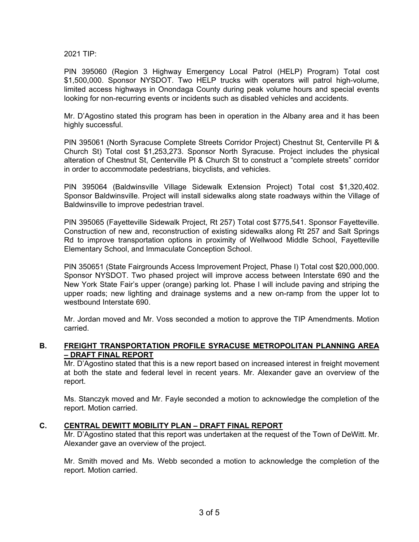2021 TIP:

PIN 395060 (Region 3 Highway Emergency Local Patrol (HELP) Program) Total cost \$1,500,000. Sponsor NYSDOT. Two HELP trucks with operators will patrol high-volume, limited access highways in Onondaga County during peak volume hours and special events looking for non-recurring events or incidents such as disabled vehicles and accidents.

Mr. D'Agostino stated this program has been in operation in the Albany area and it has been highly successful.

PIN 395061 (North Syracuse Complete Streets Corridor Project) Chestnut St, Centerville Pl & Church St) Total cost \$1,253,273. Sponsor North Syracuse. Project includes the physical alteration of Chestnut St, Centerville Pl & Church St to construct a "complete streets" corridor in order to accommodate pedestrians, bicyclists, and vehicles.

PIN 395064 (Baldwinsville Village Sidewalk Extension Project) Total cost \$1,320,402. Sponsor Baldwinsville. Project will install sidewalks along state roadways within the Village of Baldwinsville to improve pedestrian travel.

PIN 395065 (Fayetteville Sidewalk Project, Rt 257) Total cost \$775,541. Sponsor Fayetteville. Construction of new and, reconstruction of existing sidewalks along Rt 257 and Salt Springs Rd to improve transportation options in proximity of Wellwood Middle School, Fayetteville Elementary School, and Immaculate Conception School.

PIN 350651 (State Fairgrounds Access Improvement Project, Phase I) Total cost \$20,000,000. Sponsor NYSDOT. Two phased project will improve access between Interstate 690 and the New York State Fair's upper (orange) parking lot. Phase I will include paving and striping the upper roads; new lighting and drainage systems and a new on-ramp from the upper lot to westbound Interstate 690.

Mr. Jordan moved and Mr. Voss seconded a motion to approve the TIP Amendments. Motion carried.

# **B. FREIGHT TRANSPORTATION PROFILE SYRACUSE METROPOLITAN PLANNING AREA – DRAFT FINAL REPORT**

Mr. D'Agostino stated that this is a new report based on increased interest in freight movement at both the state and federal level in recent years. Mr. Alexander gave an overview of the report.

Ms. Stanczyk moved and Mr. Fayle seconded a motion to acknowledge the completion of the report. Motion carried.

## **C. CENTRAL DEWITT MOBILITY PLAN – DRAFT FINAL REPORT**

Mr. D'Agostino stated that this report was undertaken at the request of the Town of DeWitt. Mr. Alexander gave an overview of the project.

Mr. Smith moved and Ms. Webb seconded a motion to acknowledge the completion of the report. Motion carried.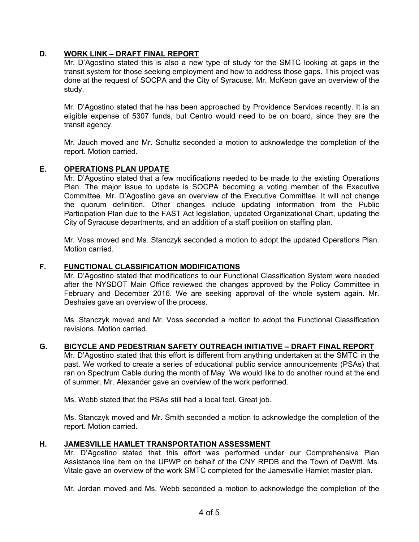# **D. WORK LINK – DRAFT FINAL REPORT**

Mr. D'Agostino stated this is also a new type of study for the SMTC looking at gaps in the transit system for those seeking employment and how to address those gaps. This project was done at the request of SOCPA and the City of Syracuse. Mr. McKeon gave an overview of the study.

Mr. D'Agostino stated that he has been approached by Providence Services recently. It is an eligible expense of 5307 funds, but Centro would need to be on board, since they are the transit agency.

Mr. Jauch moved and Mr. Schultz seconded a motion to acknowledge the completion of the report. Motion carried.

# **E. OPERATIONS PLAN UPDATE**

Mr. D'Agostino stated that a few modifications needed to be made to the existing Operations Plan. The major issue to update is SOCPA becoming a voting member of the Executive Committee. Mr. D'Agostino gave an overview of the Executive Committee. It will not change the quorum definition. Other changes include updating information from the Public Participation Plan due to the FAST Act legislation, updated Organizational Chart, updating the City of Syracuse departments, and an addition of a staff position on staffing plan.

Mr. Voss moved and Ms. Stanczyk seconded a motion to adopt the updated Operations Plan. Motion carried.

## **F. FUNCTIONAL CLASSIFICATION MODIFICATIONS**

Mr. D'Agostino stated that modifications to our Functional Classification System were needed after the NYSDOT Main Office reviewed the changes approved by the Policy Committee in February and December 2016. We are seeking approval of the whole system again. Mr. Deshaies gave an overview of the process.

Ms. Stanczyk moved and Mr. Voss seconded a motion to adopt the Functional Classification revisions. Motion carried.

# **G. BICYCLE AND PEDESTRIAN SAFETY OUTREACH INITIATIVE – DRAFT FINAL REPORT**

Mr. D'Agostino stated that this effort is different from anything undertaken at the SMTC in the past. We worked to create a series of educational public service announcements (PSAs) that ran on Spectrum Cable during the month of May. We would like to do another round at the end of summer. Mr. Alexander gave an overview of the work performed.

Ms. Webb stated that the PSAs still had a local feel. Great job.

Ms. Stanczyk moved and Mr. Smith seconded a motion to acknowledge the completion of the report. Motion carried.

# **H. JAMESVILLE HAMLET TRANSPORTATION ASSESSMENT**

Mr. D'Agostino stated that this effort was performed under our Comprehensive Plan Assistance line item on the UPWP on behalf of the CNY RPDB and the Town of DeWitt. Ms. Vitale gave an overview of the work SMTC completed for the Jamesville Hamlet master plan.

Mr. Jordan moved and Ms. Webb seconded a motion to acknowledge the completion of the